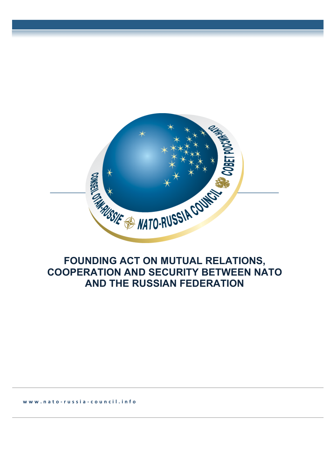

# **FOUNDING ACT ON MUTUAL RELATIONS, COOPERATION AND SECURITY BETWEEN NATO AND THE RUSSIAN FEDERATION**

**www.nato ' russia ' council.info**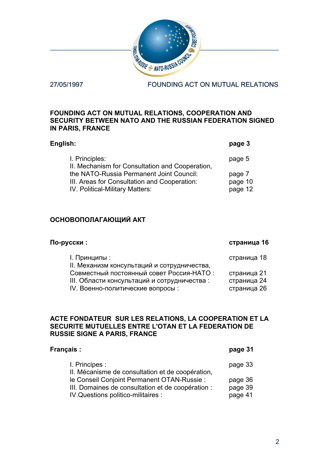

### **FOUNDING ACT ON MUTUAL RELATIONS, COOPERATION AND SECURITY BETWEEN NATO AND THE RUSSIAN FEDERATION SIGNED IN PARIS, FRANCE**

| English:                                                                                                                    | page 3                       |  |
|-----------------------------------------------------------------------------------------------------------------------------|------------------------------|--|
| I. Principles:<br>II. Mechanism for Consultation and Cooperation,                                                           | page 5                       |  |
| the NATO-Russia Permanent Joint Council:<br>III. Areas for Consultation and Cooperation:<br>IV. Political-Military Matters: | page 7<br>page 10<br>page 12 |  |

## **ОСНОВОПОЛАГАЮЩИЙ АКТ**

| По-русски :                                                                                                                 | страница 16                               |
|-----------------------------------------------------------------------------------------------------------------------------|-------------------------------------------|
| I. Принципы:<br>II. Механизм консультаций и сотрудничества,                                                                 | страница 18                               |
| Совместный постоянный совет Россия-НАТО:<br>III. Области консультаций и сотрудничества:<br>IV. Военно-политические вопросы: | страница 21<br>страница 24<br>страница 26 |

### **ACTE FONDATEUR SUR LES RELATIONS, LA COOPERATION ET LA SECURITE MUTUELLES ENTRE L'OTAN ET LA FEDERATION DE RUSSIE SIGNE A PARIS, FRANCE**

| <b>Français:</b>                                                   | page 31 |
|--------------------------------------------------------------------|---------|
| I. Principes :<br>II. Mécanisme de consultation et de coopération, | page 33 |
| le Conseil Conjoint Permanent OTAN-Russie :                        | page 36 |
| III. Domaines de consultation et de coopération :                  | page 39 |
| IV. Questions politico-militaires :                                | page 41 |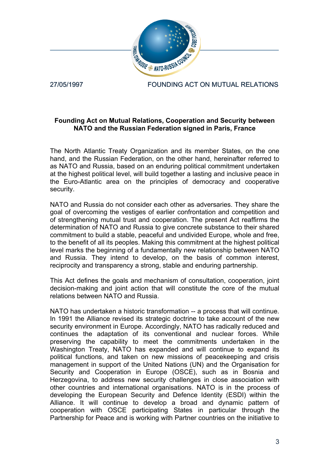

### **Founding Act on Mutual Relations, Cooperation and Security between NATO and the Russian Federation signed in Paris, France**

The North Atlantic Treaty Organization and its member States, on the one hand, and the Russian Federation, on the other hand, hereinafter referred to as NATO and Russia, based on an enduring political commitment undertaken at the highest political level, will build together a lasting and inclusive peace in the Euro-Atlantic area on the principles of democracy and cooperative security.

NATO and Russia do not consider each other as adversaries. They share the goal of overcoming the vestiges of earlier confrontation and competition and of strengthening mutual trust and cooperation. The present Act reaffirms the determination of NATO and Russia to give concrete substance to their shared commitment to build a stable, peaceful and undivided Europe, whole and free, to the benefit of all its peoples. Making this commitment at the highest political level marks the beginning of a fundamentally new relationship between NATO and Russia. They intend to develop, on the basis of common interest, reciprocity and transparency a strong, stable and enduring partnership.

This Act defines the goals and mechanism of consultation, cooperation, joint decision-making and joint action that will constitute the core of the mutual relations between NATO and Russia.

NATO has undertaken a historic transformation -- a process that will continue. In 1991 the Alliance revised its strategic doctrine to take account of the new security environment in Europe. Accordingly, NATO has radically reduced and continues the adaptation of its conventional and nuclear forces. While preserving the capability to meet the commitments undertaken in the Washington Treaty, NATO has expanded and will continue to expand its political functions, and taken on new missions of peacekeeping and crisis management in support of the United Nations (UN) and the Organisation for Security and Cooperation in Europe (OSCE), such as in Bosnia and Herzegovina, to address new security challenges in close association with other countries and international organisations. NATO is in the process of developing the European Security and Defence Identity (ESDI) within the Alliance. It will continue to develop a broad and dynamic pattern of cooperation with OSCE participating States in particular through the Partnership for Peace and is working with Partner countries on the initiative to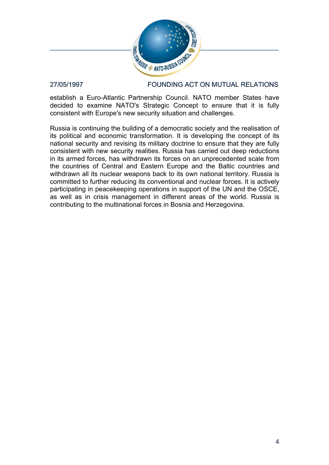

establish a Euro-Atlantic Partnership Council. NATO member States have decided to examine NATO's Strategic Concept to ensure that it is fully consistent with Europe's new security situation and challenges.

Russia is continuing the building of a democratic society and the realisation of its political and economic transformation. It is developing the concept of its national security and revising its military doctrine to ensure that they are fully consistent with new security realities. Russia has carried out deep reductions in its armed forces, has withdrawn its forces on an unprecedented scale from the countries of Central and Eastern Europe and the Baltic countries and withdrawn all its nuclear weapons back to its own national territory. Russia is committed to further reducing its conventional and nuclear forces. It is actively participating in peacekeeping operations in support of the UN and the OSCE, as well as in crisis management in different areas of the world. Russia is contributing to the multinational forces in Bosnia and Herzegovina.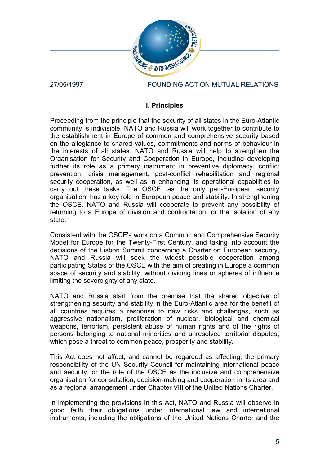

### **I. Principles**

Proceeding from the principle that the security of all states in the Euro-Atlantic community is indivisible, NATO and Russia will work together to contribute to the establishment in Europe of common and comprehensive security based on the allegiance to shared values, commitments and norms of behaviour in the interests of all states. NATO and Russia will help to strengthen the Organisation for Security and Cooperation in Europe, including developing further its role as a primary instrument in preventive diplomacy, conflict prevention, crisis management, post-conflict rehabilitation and regional security cooperation, as well as in enhancing its operational capabilities to carry out these tasks. The OSCE, as the only pan-European security organisation, has a key role in European peace and stability. In strengthening the OSCE, NATO and Russia will cooperate to prevent any possibility of returning to a Europe of division and confrontation, or the isolation of any state.

Consistent with the OSCE's work on a Common and Comprehensive Security Model for Europe for the Twenty-First Century, and taking into account the decisions of the Lisbon Summit concerning a Charter on European security, NATO and Russia will seek the widest possible cooperation among participating States of the OSCE with the aim of creating in Europe a common space of security and stability, without dividing lines or spheres of influence limiting the sovereignty of any state.

NATO and Russia start from the premise that the shared objective of strengthening security and stability in the Euro-Atlantic area for the benefit of all countries requires a response to new risks and challenges, such as aggressive nationalism, proliferation of nuclear, biological and chemical weapons, terrorism, persistent abuse of human rights and of the rights of persons belonging to national minorities and unresolved territorial disputes, which pose a threat to common peace, prosperity and stability.

This Act does not affect, and cannot be regarded as affecting, the primary responsibility of the UN Security Council for maintaining international peace and security, or the role of the OSCE as the inclusive and comprehensive organisation for consultation, decision-making and cooperation in its area and as a regional arrangement under Chapter VIII of the United Nations Charter.

In implementing the provisions in this Act, NATO and Russia will observe in good faith their obligations under international law and international instruments, including the obligations of the United Nations Charter and the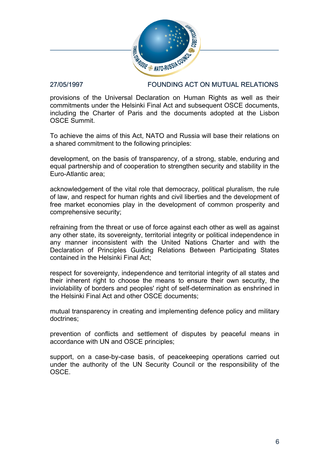

provisions of the Universal Declaration on Human Rights as well as their commitments under the Helsinki Final Act and subsequent OSCE documents, including the Charter of Paris and the documents adopted at the Lisbon OSCE Summit.

To achieve the aims of this Act, NATO and Russia will base their relations on a shared commitment to the following principles:

development, on the basis of transparency, of a strong, stable, enduring and equal partnership and of cooperation to strengthen security and stability in the Euro-Atlantic area;

acknowledgement of the vital role that democracy, political pluralism, the rule of law, and respect for human rights and civil liberties and the development of free market economies play in the development of common prosperity and comprehensive security;

refraining from the threat or use of force against each other as well as against any other state, its sovereignty, territorial integrity or political independence in any manner inconsistent with the United Nations Charter and with the Declaration of Principles Guiding Relations Between Participating States contained in the Helsinki Final Act;

respect for sovereignty, independence and territorial integrity of all states and their inherent right to choose the means to ensure their own security, the inviolability of borders and peoples' right of self-determination as enshrined in the Helsinki Final Act and other OSCE documents;

mutual transparency in creating and implementing defence policy and military doctrines;

prevention of conflicts and settlement of disputes by peaceful means in accordance with UN and OSCE principles;

support, on a case-by-case basis, of peacekeeping operations carried out under the authority of the UN Security Council or the responsibility of the OSCE.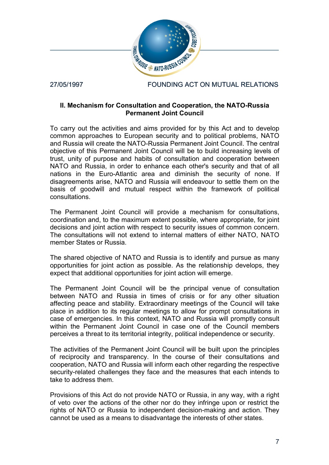

## **II. Mechanism for Consultation and Cooperation, the NATO-Russia Permanent Joint Council**

To carry out the activities and aims provided for by this Act and to develop common approaches to European security and to political problems, NATO and Russia will create the NATO-Russia Permanent Joint Council. The central objective of this Permanent Joint Council will be to build increasing levels of trust, unity of purpose and habits of consultation and cooperation between NATO and Russia, in order to enhance each other's security and that of all nations in the Euro-Atlantic area and diminish the security of none. If disagreements arise, NATO and Russia will endeavour to settle them on the basis of goodwill and mutual respect within the framework of political consultations.

The Permanent Joint Council will provide a mechanism for consultations, coordination and, to the maximum extent possible, where appropriate, for joint decisions and joint action with respect to security issues of common concern. The consultations will not extend to internal matters of either NATO, NATO member States or Russia.

The shared objective of NATO and Russia is to identify and pursue as many opportunities for joint action as possible. As the relationship develops, they expect that additional opportunities for joint action will emerge.

The Permanent Joint Council will be the principal venue of consultation between NATO and Russia in times of crisis or for any other situation affecting peace and stability. Extraordinary meetings of the Council will take place in addition to its regular meetings to allow for prompt consultations in case of emergencies. In this context, NATO and Russia will promptly consult within the Permanent Joint Council in case one of the Council members perceives a threat to its territorial integrity, political independence or security.

The activities of the Permanent Joint Council will be built upon the principles of reciprocity and transparency. In the course of their consultations and cooperation, NATO and Russia will inform each other regarding the respective security-related challenges they face and the measures that each intends to take to address them.

Provisions of this Act do not provide NATO or Russia, in any way, with a right of veto over the actions of the other nor do they infringe upon or restrict the rights of NATO or Russia to independent decision-making and action. They cannot be used as a means to disadvantage the interests of other states.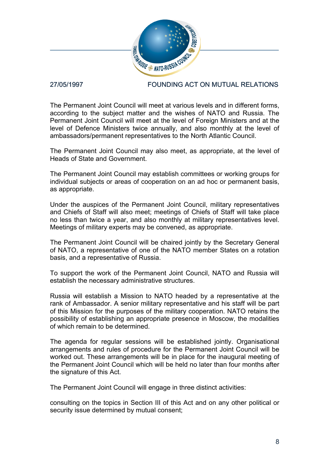

The Permanent Joint Council will meet at various levels and in different forms, according to the subject matter and the wishes of NATO and Russia. The Permanent Joint Council will meet at the level of Foreign Ministers and at the level of Defence Ministers twice annually, and also monthly at the level of ambassadors/permanent representatives to the North Atlantic Council.

The Permanent Joint Council may also meet, as appropriate, at the level of Heads of State and Government.

The Permanent Joint Council may establish committees or working groups for individual subjects or areas of cooperation on an ad hoc or permanent basis, as appropriate.

Under the auspices of the Permanent Joint Council, military representatives and Chiefs of Staff will also meet; meetings of Chiefs of Staff will take place no less than twice a year, and also monthly at military representatives level. Meetings of military experts may be convened, as appropriate.

The Permanent Joint Council will be chaired jointly by the Secretary General of NATO, a representative of one of the NATO member States on a rotation basis, and a representative of Russia.

To support the work of the Permanent Joint Council, NATO and Russia will establish the necessary administrative structures.

Russia will establish a Mission to NATO headed by a representative at the rank of Ambassador. A senior military representative and his staff will be part of this Mission for the purposes of the military cooperation. NATO retains the possibility of establishing an appropriate presence in Moscow, the modalities of which remain to be determined.

The agenda for regular sessions will be established jointly. Organisational arrangements and rules of procedure for the Permanent Joint Council will be worked out. These arrangements will be in place for the inaugural meeting of the Permanent Joint Council which will be held no later than four months after the signature of this Act.

The Permanent Joint Council will engage in three distinct activities:

consulting on the topics in Section III of this Act and on any other political or security issue determined by mutual consent;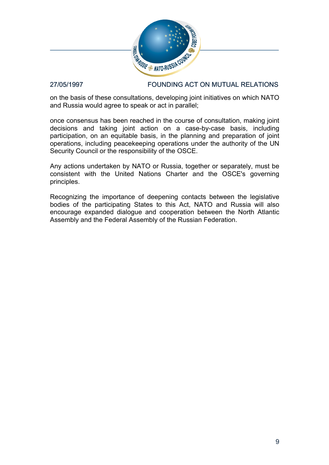

on the basis of these consultations, developing joint initiatives on which NATO and Russia would agree to speak or act in parallel;

once consensus has been reached in the course of consultation, making joint decisions and taking joint action on a case-by-case basis, including participation, on an equitable basis, in the planning and preparation of joint operations, including peacekeeping operations under the authority of the UN Security Council or the responsibility of the OSCE.

Any actions undertaken by NATO or Russia, together or separately, must be consistent with the United Nations Charter and the OSCE's governing principles.

Recognizing the importance of deepening contacts between the legislative bodies of the participating States to this Act, NATO and Russia will also encourage expanded dialogue and cooperation between the North Atlantic Assembly and the Federal Assembly of the Russian Federation.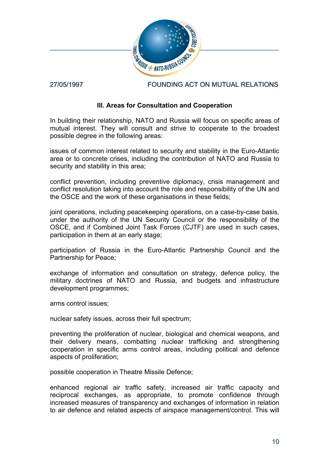

## **III. Areas for Consultation and Cooperation**

In building their relationship, NATO and Russia will focus on specific areas of mutual interest. They will consult and strive to cooperate to the broadest possible degree in the following areas:

issues of common interest related to security and stability in the Euro-Atlantic area or to concrete crises, including the contribution of NATO and Russia to security and stability in this area;

conflict prevention, including preventive diplomacy, crisis management and conflict resolution taking into account the role and responsibility of the UN and the OSCE and the work of these organisations in these fields;

joint operations, including peacekeeping operations, on a case-by-case basis, under the authority of the UN Security Council or the responsibility of the OSCE, and if Combined Joint Task Forces (CJTF) are used in such cases, participation in them at an early stage;

participation of Russia in the Euro-Atlantic Partnership Council and the Partnership for Peace;

exchange of information and consultation on strategy, defence policy, the military doctrines of NATO and Russia, and budgets and infrastructure development programmes;

arms control issues;

nuclear safety issues, across their full spectrum;

preventing the proliferation of nuclear, biological and chemical weapons, and their delivery means, combatting nuclear trafficking and strengthening cooperation in specific arms control areas, including political and defence aspects of proliferation;

possible cooperation in Theatre Missile Defence;

enhanced regional air traffic safety, increased air traffic capacity and reciprocal exchanges, as appropriate, to promote confidence through increased measures of transparency and exchanges of information in relation to air defence and related aspects of airspace management/control. This will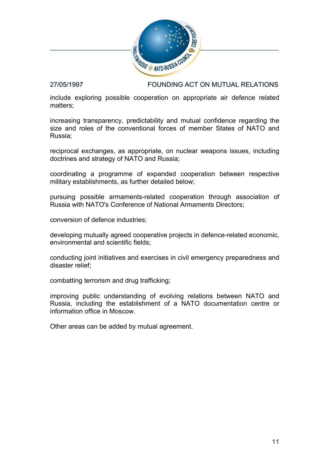

include exploring possible cooperation on appropriate air defence related matters;

increasing transparency, predictability and mutual confidence regarding the size and roles of the conventional forces of member States of NATO and Russia;

reciprocal exchanges, as appropriate, on nuclear weapons issues, including doctrines and strategy of NATO and Russia;

coordinating a programme of expanded cooperation between respective military establishments, as further detailed below;

pursuing possible armaments-related cooperation through association of Russia with NATO's Conference of National Armaments Directors;

conversion of defence industries;

developing mutually agreed cooperative projects in defence-related economic, environmental and scientific fields;

conducting joint initiatives and exercises in civil emergency preparedness and disaster relief;

combatting terrorism and drug trafficking;

improving public understanding of evolving relations between NATO and Russia, including the establishment of a NATO documentation centre or information office in Moscow.

Other areas can be added by mutual agreement.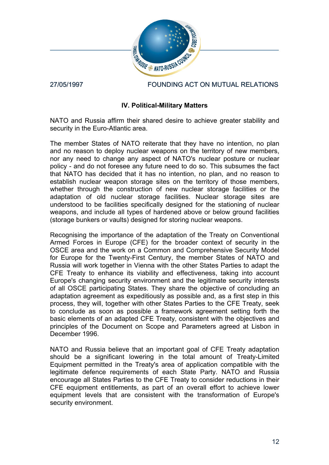

## **IV. Political-Military Matters**

NATO and Russia affirm their shared desire to achieve greater stability and security in the Euro-Atlantic area.

The member States of NATO reiterate that they have no intention, no plan and no reason to deploy nuclear weapons on the territory of new members, nor any need to change any aspect of NATO's nuclear posture or nuclear policy - and do not foresee any future need to do so. This subsumes the fact that NATO has decided that it has no intention, no plan, and no reason to establish nuclear weapon storage sites on the territory of those members, whether through the construction of new nuclear storage facilities or the adaptation of old nuclear storage facilities. Nuclear storage sites are understood to be facilities specifically designed for the stationing of nuclear weapons, and include all types of hardened above or below ground facilities (storage bunkers or vaults) designed for storing nuclear weapons.

Recognising the importance of the adaptation of the Treaty on Conventional Armed Forces in Europe (CFE) for the broader context of security in the OSCE area and the work on a Common and Comprehensive Security Model for Europe for the Twenty-First Century, the member States of NATO and Russia will work together in Vienna with the other States Parties to adapt the CFE Treaty to enhance its viability and effectiveness, taking into account Europe's changing security environment and the legitimate security interests of all OSCE participating States. They share the objective of concluding an adaptation agreement as expeditiously as possible and, as a first step in this process, they will, together with other States Parties to the CFE Treaty, seek to conclude as soon as possible a framework agreement setting forth the basic elements of an adapted CFE Treaty, consistent with the objectives and principles of the Document on Scope and Parameters agreed at Lisbon in December 1996.

NATO and Russia believe that an important goal of CFE Treaty adaptation should be a significant lowering in the total amount of Treaty-Limited Equipment permitted in the Treaty's area of application compatible with the legitimate defence requirements of each State Party. NATO and Russia encourage all States Parties to the CFE Treaty to consider reductions in their CFE equipment entitlements, as part of an overall effort to achieve lower equipment levels that are consistent with the transformation of Europe's security environment.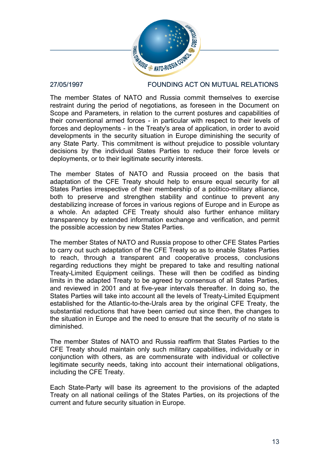

The member States of NATO and Russia commit themselves to exercise restraint during the period of negotiations, as foreseen in the Document on Scope and Parameters, in relation to the current postures and capabilities of their conventional armed forces - in particular with respect to their levels of forces and deployments - in the Treaty's area of application, in order to avoid developments in the security situation in Europe diminishing the security of any State Party. This commitment is without prejudice to possible voluntary decisions by the individual States Parties to reduce their force levels or deployments, or to their legitimate security interests.

The member States of NATO and Russia proceed on the basis that adaptation of the CFE Treaty should help to ensure equal security for all States Parties irrespective of their membership of a politico-military alliance, both to preserve and strengthen stability and continue to prevent any destabilizing increase of forces in various regions of Europe and in Europe as a whole. An adapted CFE Treaty should also further enhance military transparency by extended information exchange and verification, and permit the possible accession by new States Parties.

The member States of NATO and Russia propose to other CFE States Parties to carry out such adaptation of the CFE Treaty so as to enable States Parties to reach, through a transparent and cooperative process, conclusions regarding reductions they might be prepared to take and resulting national Treaty-Limited Equipment ceilings. These will then be codified as binding limits in the adapted Treaty to be agreed by consensus of all States Parties, and reviewed in 2001 and at five-year intervals thereafter. In doing so, the States Parties will take into account all the levels of Treaty-Limited Equipment established for the Atlantic-to-the-Urals area by the original CFE Treaty, the substantial reductions that have been carried out since then, the changes to the situation in Europe and the need to ensure that the security of no state is diminished.

The member States of NATO and Russia reaffirm that States Parties to the CFE Treaty should maintain only such military capabilities, individually or in conjunction with others, as are commensurate with individual or collective legitimate security needs, taking into account their international obligations, including the CFE Treaty.

Each State-Party will base its agreement to the provisions of the adapted Treaty on all national ceilings of the States Parties, on its projections of the current and future security situation in Europe.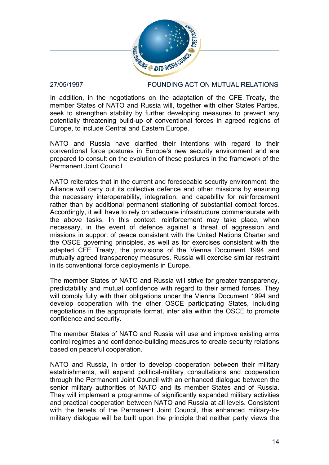

In addition, in the negotiations on the adaptation of the CFE Treaty, the member States of NATO and Russia will, together with other States Parties, seek to strengthen stability by further developing measures to prevent any potentially threatening build-up of conventional forces in agreed regions of Europe, to include Central and Eastern Europe.

NATO and Russia have clarified their intentions with regard to their conventional force postures in Europe's new security environment and are prepared to consult on the evolution of these postures in the framework of the Permanent Joint Council.

NATO reiterates that in the current and foreseeable security environment, the Alliance will carry out its collective defence and other missions by ensuring the necessary interoperability, integration, and capability for reinforcement rather than by additional permanent stationing of substantial combat forces. Accordingly, it will have to rely on adequate infrastructure commensurate with the above tasks. In this context, reinforcement may take place, when necessary, in the event of defence against a threat of aggression and missions in support of peace consistent with the United Nations Charter and the OSCE governing principles, as well as for exercises consistent with the adapted CFE Treaty, the provisions of the Vienna Document 1994 and mutually agreed transparency measures. Russia will exercise similar restraint in its conventional force deployments in Europe.

The member States of NATO and Russia will strive for greater transparency, predictability and mutual confidence with regard to their armed forces. They will comply fully with their obligations under the Vienna Document 1994 and develop cooperation with the other OSCE participating States, including negotiations in the appropriate format, inter alia within the OSCE to promote confidence and security.

The member States of NATO and Russia will use and improve existing arms control regimes and confidence-building measures to create security relations based on peaceful cooperation.

NATO and Russia, in order to develop cooperation between their military establishments, will expand political-military consultations and cooperation through the Permanent Joint Council with an enhanced dialogue between the senior military authorities of NATO and its member States and of Russia. They will implement a programme of significantly expanded military activities and practical cooperation between NATO and Russia at all levels. Consistent with the tenets of the Permanent Joint Council, this enhanced military-tomilitary dialogue will be built upon the principle that neither party views the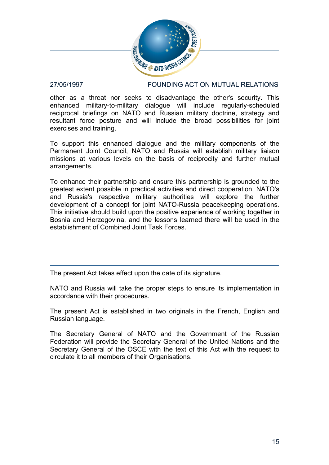

other as a threat nor seeks to disadvantage the other's security. This enhanced military-to-military dialogue will include regularly-scheduled reciprocal briefings on NATO and Russian military doctrine, strategy and resultant force posture and will include the broad possibilities for joint exercises and training.

To support this enhanced dialogue and the military components of the Permanent Joint Council, NATO and Russia will establish military liaison missions at various levels on the basis of reciprocity and further mutual arrangements.

To enhance their partnership and ensure this partnership is grounded to the greatest extent possible in practical activities and direct cooperation, NATO's and Russia's respective military authorities will explore the further development of a concept for joint NATO-Russia peacekeeping operations. This initiative should build upon the positive experience of working together in Bosnia and Herzegovina, and the lessons learned there will be used in the establishment of Combined Joint Task Forces.

The present Act takes effect upon the date of its signature.

NATO and Russia will take the proper steps to ensure its implementation in accordance with their procedures.

The present Act is established in two originals in the French, English and Russian language.

The Secretary General of NATO and the Government of the Russian Federation will provide the Secretary General of the United Nations and the Secretary General of the OSCE with the text of this Act with the request to circulate it to all members of their Organisations.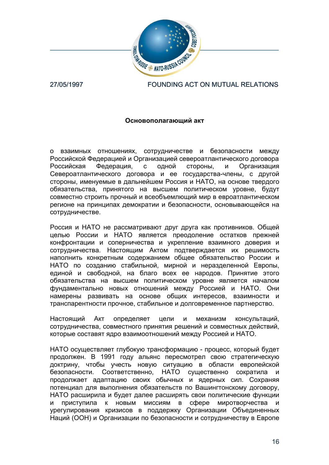

### **Основополагающий акт**

о взаимных отношениях, сотрудничестве и безопасности между Российской Федерацией и Организацией североатлантического договора Российская Федерация, с одной стороны, и Организация Североатлантического договора и ее государства-члены, с другой стороны, именуемые в дальнейшем Россия и НАТО, на основе твердого обязательства, принятого на высшем политическом уровне, будут совместно строить прочный и всеобъемлющий мир в евроатлантическом регионе на принципах демократии и безопасности, основывающейся на сотрудничестве.

Россия и НАТО не рассматривают друг друга как противников. Общей целью России и НАТО является преодоление остатков прежней конфронтации и соперничества и укрепление взаимного доверия и сотрудничества. Настоящим Актом подтверждается их решимость наполнить конкретным содержанием общее обязательство России и НАТО по созданию стабильной, мирной и неразделенной Европы, единой и свободной, на благо всех ее народов. Принятие этого обязательства на высшем политическом уровне является началом фундаментально новых отношений между Россией и НАТО. Они намерены развивать на основе общих интересов, взаимности и транспарентности прочное, стабильное и долговременное партнерство.

Настоящий Акт определяет цели и механизм консультаций, сотрудничества, совместного принятия решений и совместных действий, которые составят ядро взаимоотношений между Россией и НАТО.

НАТО осуществляет глубокую трансформацию - процесс, который будет продолжен. В 1991 году альянс пересмотрел свою стратегическую доктрину, чтобы учесть новую ситуацию в области европейской безопасности. Соответственно, НАТО существенно сократила и продолжает адаптацию своих обычных и ядерных сил. Сохраняя потенциал для выполнения обязательств по Вашингтонскому договору, НАТО расширила и будет далее расширять свои политические функции и приступила к новым миссиям в сфере миротворчества и урегулирования кризисов в поддержку Организации Объединенных Наций (ООН) и Организации по безопасности и сотрудничеству в Европе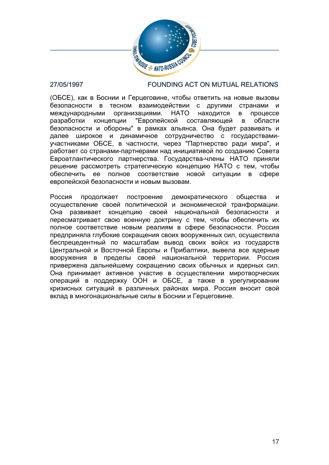

(ОБСЕ), как в Боснии и Герцеговине, чтобы ответить на новые вызовы безопасности в тесном взаимодействии с другими странами и международными организациями. НАТО находится в процессе разработки концепции "Европейской составляющей в области безопасности и обороны" в рамках альянса. Она будет развивать и далее широкое и динамичное сотрудничество с государствамиучастниками ОБСЕ, в частности, через "Партнерство ради мира", и работает со странами-партнерами над инициативой по созданию Совета Евроатлантического партнерства. Государства-члены НАТО приняли решение рассмотреть стратегическую концепцию НАТО с тем, чтобы обеспечить ее полное соответствие новой ситуации в сфере европейской безопасности и новым вызовам.

Россия продолжает построение демократического общества и осуществление своей политической и экономической транформации. Она развивает концепцию своей национальной безопасности и пересматривает свою военную доктрину с тем, чтобы обеспечить их полное соответствие новым реалиям в сфере безопасности. Россия предприняла глубокие сокращения своих вооруженных сил, осуществила беспрецедентный по масштабам вывод своих войск из государств Центральной и Восточной Европы и Прибалтики, вывела все ядерные вооружения в пределы своей национальной территории. Россия привержена дальнейшему сокращению своих обычных и ядерных сил. Она принимает активное участие в осуществлении миротворческих операций в поддержку ООН и ОБСЕ, а также в урегулировании кризисных ситуаций в различных районах мира. Россия вносит свой вклад в многонациональные силы в Боснии и Герцеговине.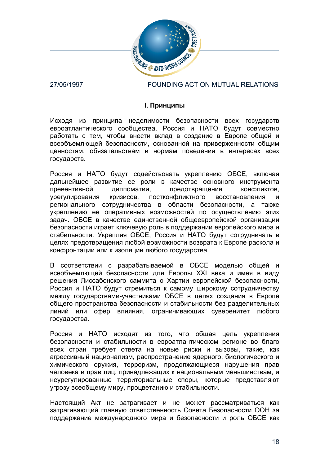

### **I. Принципы**

Исходя из принципа неделимости безопасности всех государств евроатлантического сообщества, Россия и НАТО будут совместно работать с тем, чтобы внести вклад в создание в Европе общей и всеобъемлющей безопасности, основанной на приверженности общим ценностям, обязательствам и нормам поведения в интересах всех государств.

Россия и НАТО будут содействовать укреплению ОБСЕ, включая дальнейшее развитие ее роли в качестве основного инструмента превентивной дипломатии, предотвращения конфликтов, урегулирования кризисов, постконфликтного восстановления и регионального сотрудничества в области безопасности, а также укреплению ее оперативных возможностей по осуществлению этих задач. ОБСЕ в качестве единственной общеевропейской организации безопасности играет ключевую роль в поддержании европейского мира и стабильности. Укрепляя ОБСЕ, Россия и НАТО будут сотрудничать в целях предотвращения любой возможности возврата к Европе раскола и конфронтации или к изоляции любого государства.

В соответствии с разрабатываемой в ОБСЕ моделью общей и всеобъемлющей безопасности для Европы XXI века и имея в виду решения Лиссабонского саммита о Хартии европейской безопасности, Россия и НАТО будут стремиться к самому широкому сотрудничеству между государствами-участниками ОБСЕ в целях создания в Европе общего пространства безопасности и стабильности без разделительных линий или сфер влияния, ограничивающих суверенитет любого государства.

Россия и НАТО исходят из того, что общая цель укрепления безопасности и стабильности в евроатлантическом регионе во благо всех стран требует ответа на новые риски и вызовы, такие, как агрессивный национализм, распространение ядерного, биологического и химического оружия, терроризм, продолжающиеся нарушения прав человека и прав лиц, принадлежащих к национальным меньшинствам, и неурегулированные территориальные споры, которые представляют угрозу всеобщему миру, процветанию и стабильности.

Настоящий Акт не затрагивает и не может рассматриваться как затрагивающий главную ответственность Совета Безопасности ООН за поддержание международного мира и безопасности и роль ОБСЕ как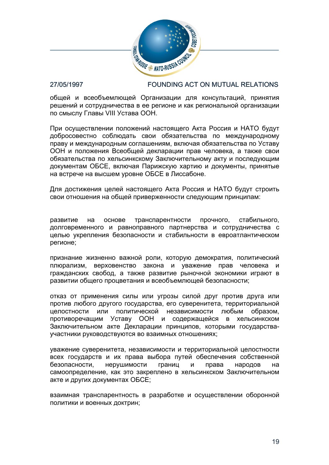

общей и всеобъемлющей Организации для консультаций, принятия решений и сотрудничества в ее регионе и как региональной организации по смыслу Главы VIII Устава ООН.

При осуществлении положений настоящего Акта Россия и НАТО будут добросовестно соблюдать свои обязательства по международному праву и международным соглашениям, включая обязательства по Уставу ООН и положения Всеобщей декларации прав человека, а также свои обязательства по хельсинкскому Заключительному акту и последующим документам ОБСЕ, включая Парижскую хартию и документы, принятые на встрече на высшем уровне ОБСЕ в Лиссабоне.

Для достижения целей настоящего Акта Россия и НАТО будут строить свои отношения на общей приверженности следующим принципам:

развитие на основе транспарентности прочного, стабильного, долговременного и равноправного партнерства и сотрудничества с целью укрепления безопасности и стабильности в евроатлантическом регионе;

признание жизненно важной роли, которую демократия, политический плюрализм, верховенство закона и уважение прав человека и гражданских свобод, а также развитие рыночной экономики играют в развитии общего процветания и всеобъемлющей безопасности;

отказ от применения силы или угрозы силой друг против друга или против любого другого государства, его суверенитета, территориальной целостности или политической независимости любым образом, противоречащим Уставу ООН и содержащейся в хельсинкском Заключительном акте Декларации принципов, которыми государстваучастники руководствуются во взаимных отношениях;

уважение суверенитета, независимости и территориальной целостности всех государств и их права выбора путей обеспечения собственной безопасности, нерушимости границ и права народов на самоопределение, как это закреплено в хельсинкском Заключительном акте и других документах ОБСЕ;

взаимная транспарентность в разработке и осуществлении оборонной политики и военных доктрин;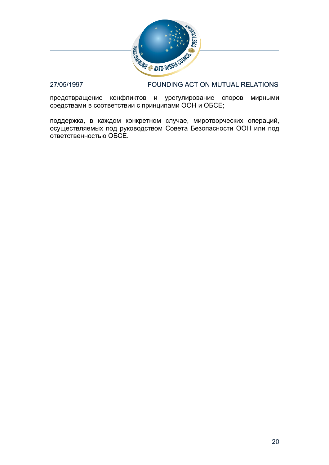

предотвращение конфликтов и урегулирование споров мирными средствами в соответствии с принципами ООН и ОБСЕ;

поддержка, в каждом конкретном случае, миротворческих операций, осуществляемых под руководством Совета Безопасности ООН или под ответственностью ОБСЕ.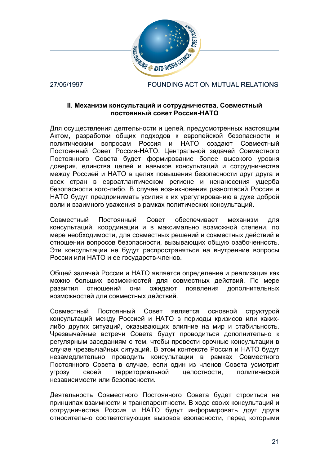

### **II. Механизм консультаций и сотрудничества, Совместный постоянный совет Россия-НАТО**

Для осуществления деятельности и целей, предусмотренных настоящим Актом, разработки общих подходов к европейской безопасности и политическим вопросам Россия и НАТО создают Совместный Постоянный Совет Россия-НАТО. Центральной задачей Совместного Постоянного Совета будет формирование более высокого уровня доверия, единства целей и навыков консультаций и сотрудничества между Россией и НАТО в целях повышения безопасности друг друга и всех стран в евроатлантическом регионе и ненанесения ущерба безопасности кого-либо. В случае возникновения разногласий Россия и НАТО будут предпринимать усилия к их урегулированию в духе доброй воли и взаимного уважения в рамках политических консультаций.

Совместный Постоянный Совет обеспечивает механизм для консультаций, координации и в максимально возможной степени, по мере необходимости, для совместных решений и совместных действий в отношении вопросов безопасности, вызывающих общую озабоченность. Эти консультации не будут распространяться на внутренние вопросы России или НАТО и ее государств-членов.

Общей задачей России и НАТО является определение и реализация как можно больших возможностей для совместных действий. По мере развития отношений они ожидают появления дополнительных возможностей для совместных действий.

Совместный Постоянный Совет является основной структурой консультаций между Россией и НАТО в периоды кризисов или какихлибо других ситуаций, оказывающих влияние на мир и стабильность. Чрезвычайные встречи Совета будут проводиться дополнительно к регулярным заседаниям с тем, чтобы провести срочные консультации в случае чрезвычайных ситуаций. В этом контексте Россия и НАТО будут незамедлительно проводить консультации в рамках Совместного Постоянного Совета в случае, если один из членов Совета усмотрит угрозу своей территориальной целостности, политической независимости или безопасности.

Деятельность Совместного Постоянного Совета будет строиться на принципах взаимности и транспарентности. В ходе своих консультаций и сотрудничества Россия и НАТО будут информировать друг друга относительно соответствующих вызовов езопасности, перед которыми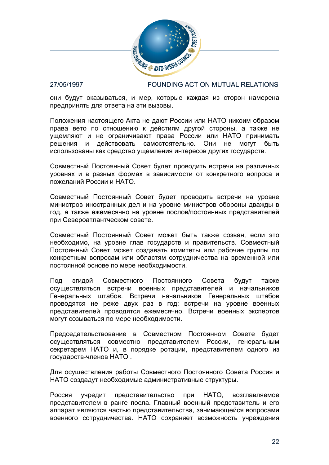

они будут оказываться, и мер, которые каждая из сторон намерена предпринять для ответа на эти вызовы.

Положения настоящего Акта не дают России или НАТО никоим образом права вето по отношению к дейстиям другой стороны, а также не ущемляют и не ограничивают права России или НАТО принимать решения и действовать самостоятельно. Они не могут быть использованы как средство ущемления интересов других государств.

Совместный Постоянный Совет будет проводить встречи на различных уровнях и в разных формах в зависимости от конкретного вопроса и пожеланий России и НАТО.

Совместный Постоянный Совет будет проводить встречи на уровне министров иностранных дел и на уровне министров обороны дважды в год, а также ежемесячно на уровне послов/постоянных представителей при Североатлантческом совете.

Совместный Постоянный Совет может быть также созван, если это необходимо, на уровне глав государств и правительств. Совместный Постоянный Совет может создавать комитеты или рабочие группы по конкретным вопросам или областям сотрудничества на временной или постоянной основе по мере необходимости.

Под эгидой Совместного Постоянного Совета будут также осуществляться встречи военных представителей и начальников Генеральных штабов. Встречи начальников Генеральных штабов проводятся не реже двух раз в год; встречи на уровне военных представителей проводятся ежемесячно. Встречи военных экспертов могут созываться по мере необходимости.

Председательствование в Совместном Постоянном Совете будет осуществляться совместно представителем России, генеральным секретарем НАТО и, в порядке ротации, представителем одного из государств-членов НАТО .

Для осуществления работы Совместного Постоянного Совета Россия и НАТО создадут необходимые административные структуры.

Россия учредит представительство при НАТО, возглавляемое представителем в ранге посла. Главный военный представитель и его аппарат являются частью представительства, занимающейся вопросами военного сотрудничества. НАТО сохраняет возможность учреждения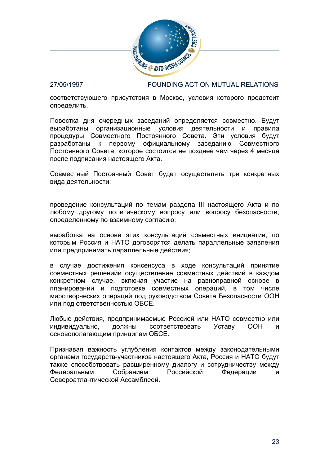

соответствующего присутствия в Москве, условия которого предстоит определить.

Повестка дня очередных заседаний определяется совместно. Будут выработаны организационные условия деятельности и правила процедуры Совместного Постоянного Совета. Эти условия будут разработаны к первому официальному заседанию Совместного Постоянного Совета, которое состоится не позднее чем через 4 месяца после подписания настоящего Акта.

Совместный Постоянный Совет будет осуществлять три конкретных вида деятельности:

проведение консультаций по темам раздела III настоящего Акта и по любому другому политическому вопросу или вопросу безопасности, определенному по взаимному согласию;

выработка на основе этих консультаций совместных инициатив, по которым Россия и НАТО договорятся делать параллельные заявления или предпринимать параллельные действия;

в случае достижения консенсуса в ходе консультаций принятие совместных решенийи осуществление совместных действий в каждом конкретном случае, включая участие на равноправной основе в планировании и подготовке совместных операций, в том числе миротворческих операций под руководством Совета Безопасности ООН или под ответственностью ОБСЕ.

Любые действия, предпринимаемые Россией или НАТО совместно или индивидуально, должны соответствовать Уставу ООН и основополагающим принципам ОБСЕ.

Признавая важность углубления контактов между законодательными органами государств-участников настоящего Акта, Россия и НАТО будут также способствовать расширенному диалогу и сотрудничеству между Федеральным Собранием Российской Федерации и Североатлантической Ассамблеей.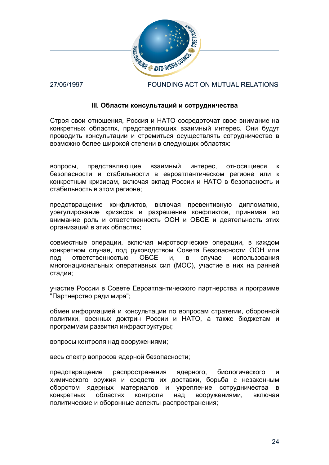

### **III. Области консультаций и сотрудничества**

Строя свои отношения, Россия и НАТО сосредоточат свое внимание на конкретных областях, представляющих взаимный интерес. Они будут проводить консультации и стремиться осуществлять сотрудничество в возможно более широкой степени в следующих областях:

вопросы, представляющие взаимный интерес, относящиеся к безопасности и стабильности в евроатлантическом регионе или к конкретным кризисам, включая вклад России и НАТО в безопасность и стабильность в этом регионе;

предотвращение конфликтов, включая превентивную дипломатию, урегулирование кризисов и разрешение конфликтов, принимая во внимание роль и ответственность ООН и ОБСЕ и деятельность этих организаций в этих областях;

совместные операции, включая миротворческие операции, в каждом конкретном случае, под руководством Совета Безопасности ООН или под ответственностью ОБСЕ и, в случае использования многонациональных оперативных сил (МОС), участие в них на ранней стадии;

участие России в Совете Евроатлантического партнерства и программе "Партнерство ради мира";

обмен информацией и консультации по вопросам стратегии, оборонной политики, военных доктрин России и НАТО, а также бюджетам и программам развития инфраструктуры;

вопросы контроля над вооружениями;

весь спектр вопросов ядерной безопасности;

предотвращение распространения ядерного, биологического и химического оружия и средств их доставки, борьба с незаконным оборотом ядерных материалов и укрепление сотрудничества в конкретных областях контроля над вооружениями, включая политические и оборонные аспекты распространения;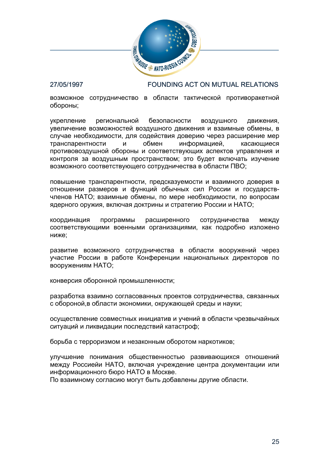

возможное сотрудничество в области тактической противоракетной обороны;

укрепление региональной безопасности воздушного движения, увеличение возможностей воздушного движения и взаимные обмены, в случае необходимости, для содействия доверию через расширение мер транспарентности и обмен информацией, касающиeся противовоздушной обороны и соответствующих аспектов управления и контроля за воздушным пространством; это будет включать изучение возможного соответствующего сотрудничества в области ПВО;

повышение транспарентности, предсказуемости и взаимного доверия в отношении размеров и функций обычных сил России и государствчленов НАТО; взаимные обмены, по мере необходимости, по вопросам ядерного оружия, включая доктрины и стратегию России и НАТО;

координация программы расширенного сотрудничества между соответствующими военными организациями, как подробно изложено ниже;

развитие возможного сотрудничества в области вооружений через участие России в работе Конференции национальных директоров по вооружениям НАТО;

конверсия оборонной промышленности;

разработка взаимно согласованных проектов сотрудничества, связанных с обороной,в области экономики, окружающей среды и науки;

осуществление совместных инициатив и учений в области чрезвычайных ситуаций и ликвидации последствий катастроф;

борьба с терроризмом и незаконным оборотом наркотиков;

улучшение понимания общественностью развивающихся отношений между Россиейи НАТО, включая учреждение центра документации или информационного бюро НАТО в Москве.

По взаимному согласию могут быть добавлены другие области.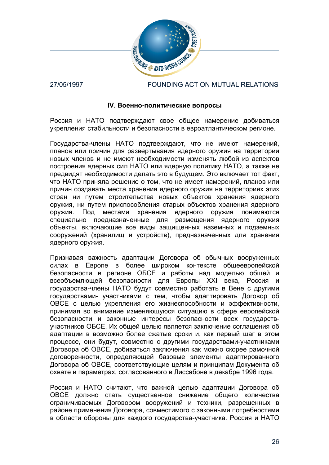

### **IV. Военно-политические вопросы**

Россия и НАТО подтверждают свое общее намерение добиваться укрепления стабильности и безопасности в евроатлантическом регионе.

Государства-члены НАТО подтверждают, что не имеют намерений, планов или причин для развертывания ядерного оружия на территории новых членов и не имеют необходимости изменять любой из аспектов построения ядерных сил НАТО или ядерную политику НАТО, а также не предвидят необходимости делать это в будущем. Это включает тот факт, что НАТО приняла решение о том, что не имеет намерений, планов или причин создавать места хранения ядерного оружия на территориях этих стран ни путем строительства новых объектов хранения ядерного оружия, ни путем приспособления старых объектов хранения ядерного оружия. Под местами хранения ядерного оружия понимаются специально предназначенные для размещения ядерного оружия объекты, включающие все виды защищенных наземных и подземных сооружений (хранилищ и устройств), предназначенных для хранения ядерного оружия.

Признавая важность адаптации Договора об обычных вооруженных силах в Европе в более широком контексте общеевропейской безопасности в регионе ОБСЕ и работы над моделью общей и всеобъемлющей безопасности для Европы XXI века, Россия и государства-члены НАТО будут совместно работать в Вене с другими государствами- участниками с тем, чтобы адаптировать Договор об ОВСЕ с целью укрепления его жизнеспособности и эффективности, принимая во внимание изменяющуюся ситуацию в сфере европейской безопасности и законные интересы безопасности всех государствучастников ОБСЕ. Их общей целью является заключение соглашения об адаптации в возможно более сжатые сроки и, как первый шаг в этом процессе, они будут, совместно с другими государствами-участниками Договора об ОВСЕ, добиваться заключения как можно скорее рамочной договоренности, определяющей базовые элементы адаптированного Договора об ОВСЕ, соответствующие целям и принципам Документа об охвате и параметрах, согласованного в Лиссабоне в декабре 1996 года.

Россия и НАТО считают, что важной целью адаптации Договора об ОВСЕ должно стать существенное снижение общего количества ограничиваемых Договором вооружений и техники, разрешенных в районе применения Договора, совместимого с законными потребностями в области обороны для каждого государства-участника. Россия и НАТО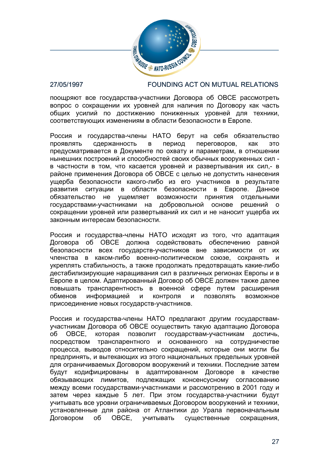

поощряют все государства-участники Договора об ОВСЕ рассмотреть вопрос о сокращении их уровней для наличия по Договору как часть общих усилий по достижению пониженных уровней для техники, соответствующих изменениям в области безопасности в Европе.

Россия и государства-члены НАТО берут на себя обязательство проявлять сдержанность в период переговоров, как это предусматривается в Документе по охвату и параметрам, в отношении нынешних построений и способностей своих обычных вооруженных сил в частности в том, что касается уровней и развертывания их сил,- в районе применения Договора об ОВСЕ с целью не допустить нанесения ущерба безопасности какого-либо из его участников в результате развития ситуации в области безопасности в Европе. Данное обязательство не ущемляет возможности принятия отдельными государствами-участниками на добровольной основе решений о сокращении уровней или развертываний их сил и не наносит ущерба их законным интересам безопасности.

Россия и государства-члены НАТО исходят из того, что адаптация Договора об ОВСЕ должна содействовать обеспечению равной безопасности всех государств-участников вне зависимости от их членства в каком-либо военно-политическом союзе, сохранять и укреплять стабильность, а также продолжать предотвращать какие-либо дестабилизирующие наращивания сил в различных регионах Европы и в Европе в целом. Адаптированный Договор об ОВСЕ должен также далее повышать транспарентность в военной сфере путем расширения обменов информацией и контроля и позволять возможное присоединение новых государств-участников.

Россия и государства-члены НАТО предлагают другим государствамучастникам Договора об ОВСЕ осуществить такую адаптацию Договора об ОВСЕ, которая позволит государствам-участникам достичь, посредством транспарентного и основанного на сотрудничестве процесса, выводов относительно сокращений, которые они могли бы предпринять, и вытекающих из этого национальных предельных уровней для ограничиваемых Договором вооружений и техники. Последние затем будут кодифицированы в адаптированном Договоре в качестве обязывающих лимитов, подлежащих консенсусному согласованию между всеми государствами-участниками и рассмотрению в 2001 году и затем через каждые 5 лет. При этом государства-участники будут учитывать все уровни ограничиваемых Договором вооружений и техники, установленные для района от Атлантики до Урала первоначальным Договором об ОВСЕ, учитывать существенные сокращения,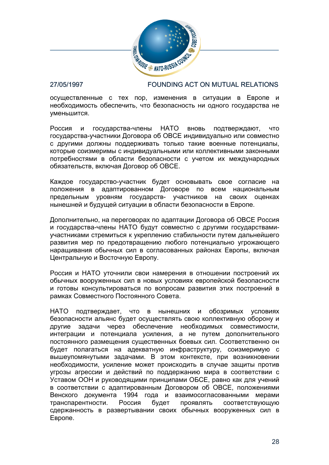

осуществленные с тех пор, изменения в ситуации в Европе и необходимость обеспечить, что безопасность ни одного государства не уменьшится.

Россия и государства-члены НАТО вновь подтверждают, что государства-участники Договора об ОВСЕ индивидуально или совместно с другими должны поддерживать только такие военные потенциалы, которые соизмеримы с индивидуальными или коллективными законными потребностями в области безопасности с учетом их международных обязательств, включая Договор об ОВСЕ.

Каждое государство-участник будет основывать свое согласие на положения в адаптированном Договоре по всем национальным предельным уровням государств- участников на своих оценках нынешней и будущей ситуации в области безопасности в Европе.

Дополнительно, на переговорах по адаптации Договора об ОВСЕ Россия и государства-члены НАТО будут совместно с другими государствамиучастниками стремиться к укреплению стабильности путем дальнейшего развития мер по предотвращению любого потенциально угрожающего наращивания обычных сил в согласованных районах Европы, включая Центральную и Восточную Европу.

Россия и НАТО уточнили свои намерения в отношении построений их обычных вооруженных сил в новых условиях европейской безопасности и готовы консультироваться по вопросам развития этих построений в рамках Совместного Постоянного Совета.

НАТО подтверждает, что в нынешних и обозримых условиях безопасности альянс будет осуществлять свою коллективную оборону и другие задачи через обеспечение необходимых совместимости, интеграции и потенциала усиления, а не путем дополнительного постоянного размещения существенных боевых сил. Соответственно он будет полагаться на адекватную инфраструктуру, соизмеримую с вышеупомянутыми задачами. В этом контексте, при возникновении необходимости, усиление может происходить в случае защиты против угрозы агрессии и действий по поддержанию мира в соответствии с Уставом ООН и руководящими принципами ОБСЕ, равно как для учений в соответствии с адаптированным Договором об ОВСЕ, положениями Венского документа 1994 года и взаимосогласованными мерами транспарентности. Россия будет проявлять соответствующую сдержанность в развертывании своих обычных вооруженных сил в Европе.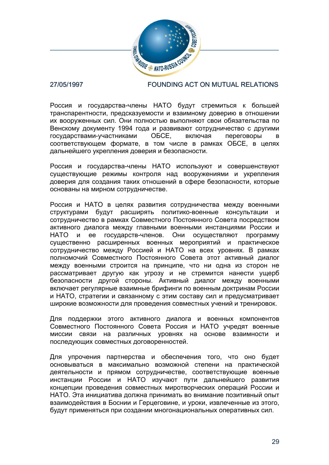

Россия и государства-члены НАТО будут стремиться к большей транспарентности, предсказуемости и взаимному доверию в отношении их вооруженных сил. Они полностью выполняют свои обязательства по Венскому документу 1994 года и развивают сотрудничество с другими государствами-участниками ОБСЕ, включая переговоры в соответствующем формате, в том числе в рамках ОБСЕ, в целях дальнейшего укрепления доверия и безопасности.

Россия и государства-члены НАТО используют и совершенствуют существующие режимы контроля над вооружениями и укрепления доверия для создания таких отношений в сфере безопасности, которые основаны на мирном сотрудничестве.

Россия и НАТО в целях развития сотрудничества между военными структурами будут расширять политико-военные консультации и сотрудничество в рамках Совместного Постоянного Совета посредством активного диалога между главными военными инстанциями России и НАТО и ее государств-членов. Они осуществляют программу существенно расширенных военных мероприятий и практическое сотрудничество между Россией и НАТО на всех уровнях. В рамках полномочий Совместного Постоянного Совета этот активный диалог между военными строится на принципе, что ни одна из сторон не рассматривает другую как угрозу и не стремится нанести ущерб безопасности другой стороны. Активный диалог между военными включает регулярные взаимные брифинги по военным доктринам России и НАТО, стратегии и связанному с этим составу сил и предусматривает широкие возможности для проведения совместных учений и тренировок.

Для поддержки этого активного диалога и военных компонентов Совместного Постоянного Совета Россия и НАТО учредят военные миссии связи на различных уровнях на основе взаимности и последующих совместных договоренностей.

Для упрочения партнерства и обеспечения того, что оно будет основываться в максимально возможной степени на практической деятельности и прямом сотрудничестве, соответствующие военные инстанции России и НАТО изучают пути дальнейшего развития концепции проведения совместных миротворческих операций России и НАТО. Эта инициатива должна принимать во внимание позитивный опыт взаимодействия в Боснии и Герцеговине, и уроки, извлеченные из этого, будут применяться при создании многонациональных оперативных сил.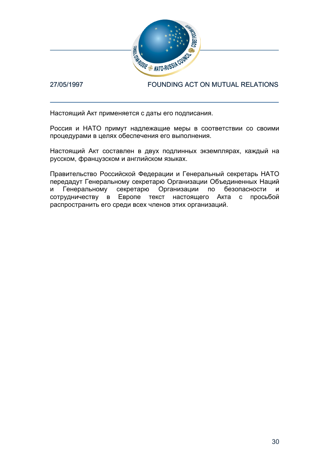

Настоящий Акт применяется с даты его подписания.

Россия и НАТО примут надлежащие меры в соответствии со своими процедурами в целях обеспечения его выполнения.

Настоящий Акт составлен в двух подлинных экземплярах, каждый на русском, французском и английском языках.

Правительство Российской Федерации и Генеральный секретарь НАТО передадут Генеральному секретарю Организации Объединенных Наций и Генеральному секретарю Организации по безопасности и сотрудничеству в Европе текст настоящего Акта с просьбой распространить его среди всех членов этих организаций.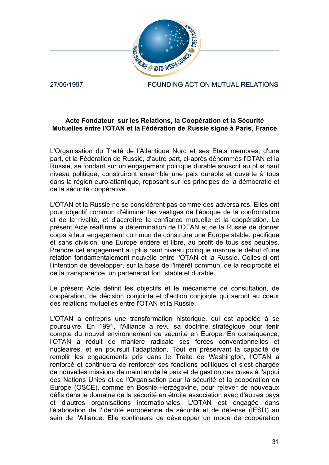

### **Acte Fondateur sur les Relations, la Coopération et la Sécurité Mutuelles entre l'OTAN et la Fédération de Russie signé à Paris, France**

L'Organisation du Traité de l'Atlantique Nord et ses Etats membres, d'une part, et la Fédération de Russie, d'autre part, ci-après dénommés l'OTAN et la Russie, se fondant sur un engagement politique durable souscrit au plus haut niveau politique, construiront ensemble une paix durable et ouverte à tous dans la région euro-atlantique, reposant sur les principes de la démocratie et de la sécurité coopérative.

L'OTAN et la Russie ne se considèrent pas comme des adversaires. Elles ont pour objectif commun d'éliminer les vestiges de l'époque de la confrontation et de la rivalité, et d'accroître la confiance mutuelle et la coopération. Le présent Acte réaffirme la détermination de l'OTAN et de la Russie de donner corps à leur engagement commun de construire une Europe stable, pacifique et sans division, une Europe entière et libre, au profit de tous ses peuples. Prendre cet engagement au plus haut niveau politique marque le début d'une relation fondamentalement nouvelle entre l'OTAN et la Russie. Celles-ci ont l'intention de développer, sur la base de l'intérêt commun, de la réciprocité et de la transparence, un partenariat fort, stable et durable.

Le présent Acte définit les objectifs et le mécanisme de consultation, de coopération, de décision conjointe et d'action conjointe qui seront au coeur des relations mutuelles entre l'OTAN et la Russie.

L'OTAN a entrepris une transformation historique, qui est appelée à se poursuivre. En 1991, l'Alliance a revu sa doctrine stratégique pour tenir compte du nouvel environnement de sécurité en Europe. En conséquence, l'OTAN a réduit de manière radicale ses forces conventionnelles et nucléaires, et en poursuit l'adaptation. Tout en préservant la capacité de remplir les engagements pris dans le Traité de Washington, l'OTAN a renforcé et continuera de renforcer ses fonctions politiques et s'est chargée de nouvelles missions de maintien de la paix et de gestion des crises à l'appui des Nations Unies et de l'Organisation pour la sécurité et la coopération en Europe (OSCE), comme en Bosnie-Herzégovine, pour relever de nouveaux défis dans le domaine de la sécurité en étroite association avec d'autres pays et d'autres organisations internationales. L'OTAN est engagée dans l'élaboration de l'Identité européenne de sécurité et de défense (IESD) au sein de l'Alliance. Elle continuera de développer un mode de coopération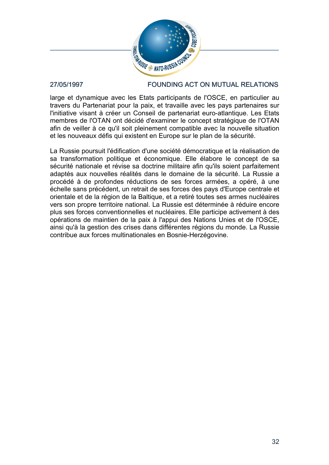

large et dynamique avec les Etats participants de l'OSCE, en particulier au travers du Partenariat pour la paix, et travaille avec les pays partenaires sur l'initiative visant à créer un Conseil de partenariat euro-atlantique. Les Etats membres de l'OTAN ont décidé d'examiner le concept stratégique de l'OTAN afin de veiller à ce qu'il soit pleinement compatible avec la nouvelle situation et les nouveaux défis qui existent en Europe sur le plan de la sécurité.

La Russie poursuit l'édification d'une société démocratique et la réalisation de sa transformation politique et économique. Elle élabore le concept de sa sécurité nationale et révise sa doctrine militaire afin qu'ils soient parfaitement adaptés aux nouvelles réalités dans le domaine de la sécurité. La Russie a procédé à de profondes réductions de ses forces armées, a opéré, à une échelle sans précédent, un retrait de ses forces des pays d'Europe centrale et orientale et de la région de la Baltique, et a retiré toutes ses armes nucléaires vers son propre territoire national. La Russie est déterminée à réduire encore plus ses forces conventionnelles et nucléaires. Elle participe activement à des opérations de maintien de la paix à l'appui des Nations Unies et de l'OSCE, ainsi qu'à la gestion des crises dans différentes régions du monde. La Russie contribue aux forces multinationales en Bosnie-Herzégovine.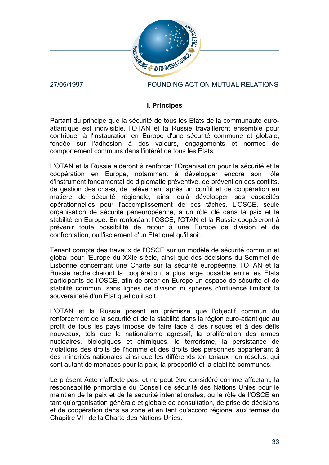

### **I. Principes**

Partant du principe que la sécurité de tous les Etats de la communauté euroatlantique est indivisible, l'OTAN et la Russie travailleront ensemble pour contribuer à l'instauration en Europe d'une sécurité commune et globale, fondée sur l'adhésion à des valeurs, engagements et normes de comportement communs dans l'intérêt de tous les Etats.

L'OTAN et la Russie aideront à renforcer l'Organisation pour la sécurité et la coopération en Europe, notamment à développer encore son rôle d'instrument fondamental de diplomatie préventive, de prévention des conflits, de gestion des crises, de relèvement après un conflit et de coopération en matière de sécurité régionale, ainsi qu'à développer ses capacités opérationnelles pour l'accomplissement de ces tâches. L'OSCE, seule organisation de sécurité paneuropéenne, a un rôle clé dans la paix et la stabilité en Europe. En renforáant l'OSCE, l'OTAN et la Russie coopéreront à prévenir toute possibilité de retour à une Europe de division et de confrontation, ou l'isolement d'un Etat quel qu'il soit.

Tenant compte des travaux de l'OSCE sur un modèle de sécurité commun et global pour l'Europe du XXIe siècle, ainsi que des décisions du Sommet de Lisbonne concernant une Charte sur la sécurité européenne, l'OTAN et la Russie rechercheront la coopération la plus large possible entre les Etats participants de l'OSCE, afin de créer en Europe un espace de sécurité et de stabilité commun, sans lignes de division ni sphères d'influence limitant la souveraineté d'un Etat quel qu'il soit.

L'OTAN et la Russie posent en prémisse que l'objectif commun du renforcement de la sécurité et de la stabilité dans la région euro-atlantique au profit de tous les pays impose de faire face à des risques et à des défis nouveaux, tels que le nationalisme agressif, la prolifération des armes nucléaires, biologiques et chimiques, le terrorisme, la persistance de violations des droits de l'homme et des droits des personnes appartenant à des minorités nationales ainsi que les différends territoriaux non résolus, qui sont autant de menaces pour la paix, la prospérité et la stabilité communes.

Le présent Acte n'affecte pas, et ne peut être considéré comme affectant, la responsabilité primordiale du Conseil de sécurité des Nations Unies pour le maintien de la paix et de la sécurité internationales, ou le rôle de l'OSCE en tant qu'organisation générale et globale de consultation, de prise de décisions et de coopération dans sa zone et en tant qu'accord régional aux termes du Chapitre VIII de la Charte des Nations Unies.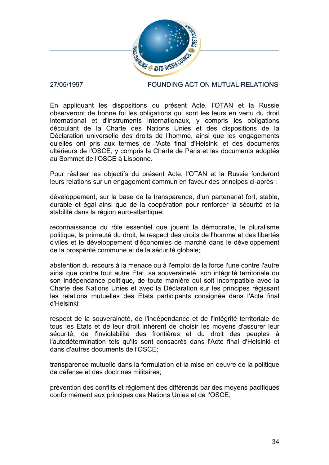

En appliquant les dispositions du présent Acte, l'OTAN et la Russie observeront de bonne foi les obligations qui sont les leurs en vertu du droit international et d'instruments internationaux, y compris les obligations découlant de la Charte des Nations Unies et des dispositions de la Déclaration universelle des droits de l'homme, ainsi que les engagements qu'elles ont pris aux termes de l'Acte final d'Helsinki et des documents ultérieurs de l'OSCE, y compris la Charte de Paris et les documents adoptés au Sommet de l'OSCE à Lisbonne.

Pour réaliser les objectifs du présent Acte, l'OTAN et la Russie fonderont leurs relations sur un engagement commun en faveur des principes ci-après :

développement, sur la base de la transparence, d'un partenariat fort, stable, durable et égal ainsi que de la coopération pour renforcer la sécurité et la stabilité dans la région euro-atlantique;

reconnaissance du rôle essentiel que jouent la démocratie, le pluralisme politique, la primauté du droit, le respect des droits de l'homme et des libertés civiles et le développement d'économies de marché dans le développement de la prospérité commune et de la sécurité globale;

abstention du recours à la menace ou à l'emploi de la force l'une contre l'autre ainsi que contre tout autre Etat, sa souveraineté, son intégrité territoriale ou son indépendance politique, de toute manière qui soit incompatible avec la Charte des Nations Unies et avec la Déclaration sur les principes régissant les relations mutuelles des Etats participants consignée dans l'Acte final d'Helsinki;

respect de la souveraineté, de l'indépendance et de l'intégrité territoriale de tous les Etats et de leur droit inhérent de choisir les moyens d'assurer leur sécurité, de l'inviolabilité des frontières et du droit des peuples à l'autodétermination tels qu'ils sont consacrés dans l'Acte final d'Helsinki et dans d'autres documents de l'OSCE;

transparence mutuelle dans la formulation et la mise en oeuvre de la politique de défense et des doctrines militaires;

prévention des conflits et règlement des différends par des moyens pacifiques conformément aux principes des Nations Unies et de l'OSCE;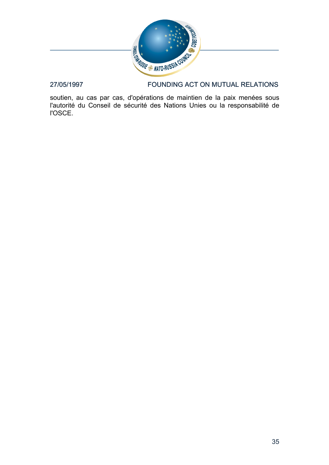

soutien, au cas par cas, d'opérations de maintien de la paix menées sous l'autorité du Conseil de sécurité des Nations Unies ou la responsabilité de l'OSCE.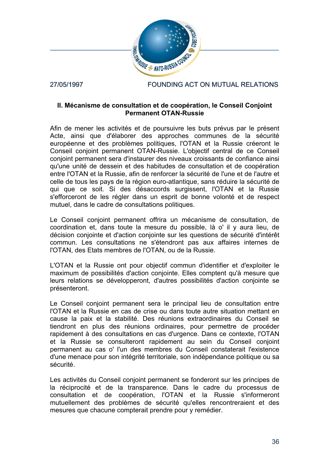

## **II. Mécanisme de consultation et de coopération, le Conseil Conjoint Permanent OTAN-Russie**

Afin de mener les activités et de poursuivre les buts prévus par le présent Acte, ainsi que d'élaborer des approches communes de la sécurité européenne et des problèmes politiques, l'OTAN et la Russie créeront le Conseil conjoint permanent OTAN-Russie. L'objectif central de ce Conseil conjoint permanent sera d'instaurer des niveaux croissants de confiance ainsi qu'une unité de dessein et des habitudes de consultation et de coopération entre l'OTAN et la Russie, afin de renforcer la sécurité de l'une et de l'autre et celle de tous les pays de la région euro-atlantique, sans réduire la sécurité de qui que ce soit. Si des désaccords surgissent, l'OTAN et la Russie s'efforceront de les régler dans un esprit de bonne volonté et de respect mutuel, dans le cadre de consultations politiques.

Le Conseil conjoint permanent offrira un mécanisme de consultation, de coordination et, dans toute la mesure du possible, là o' il y aura lieu, de décision conjointe et d'action conjointe sur les questions de sécurité d'intérêt commun. Les consultations ne s'étendront pas aux affaires internes de l'OTAN, des Etats membres de l'OTAN, ou de la Russie.

L'OTAN et la Russie ont pour objectif commun d'identifier et d'exploiter le maximum de possibilités d'action conjointe. Elles comptent qu'à mesure que leurs relations se développeront, d'autres possibilités d'action conjointe se présenteront.

Le Conseil conjoint permanent sera le principal lieu de consultation entre l'OTAN et la Russie en cas de crise ou dans toute autre situation mettant en cause la paix et la stabilité. Des réunions extraordinaires du Conseil se tiendront en plus des réunions ordinaires, pour permettre de procéder rapidement à des consultations en cas d'urgence. Dans ce contexte, l'OTAN et la Russie se consulteront rapidement au sein du Conseil conjoint permanent au cas o' l'un des membres du Conseil constaterait l'existence d'une menace pour son intégrité territoriale, son indépendance politique ou sa sécurité.

Les activités du Conseil conjoint permanent se fonderont sur les principes de la réciprocité et de la transparence. Dans le cadre du processus de consultation et de coopération, l'OTAN et la Russie s'informeront mutuellement des problèmes de sécurité qu'elles rencontreraient et des mesures que chacune compterait prendre pour y remédier.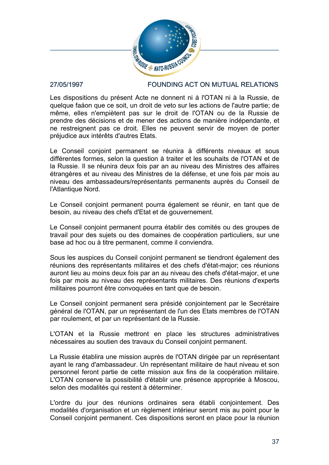

Les dispositions du présent Acte ne donnent ni à l'OTAN ni à la Russie, de quelque faáon que ce soit, un droit de veto sur les actions de l'autre partie; de même, elles n'empiètent pas sur le droit de l'OTAN ou de la Russie de prendre des décisions et de mener des actions de manière indépendante, et ne restreignent pas ce droit. Elles ne peuvent servir de moyen de porter préjudice aux intérêts d'autres Etats.

Le Conseil conjoint permanent se réunira à différents niveaux et sous différentes formes, selon la question à traiter et les souhaits de l'OTAN et de la Russie. Il se réunira deux fois par an au niveau des Ministres des affaires étrangères et au niveau des Ministres de la défense, et une fois par mois au niveau des ambassadeurs/représentants permanents auprès du Conseil de l'Atlantique Nord.

Le Conseil conjoint permanent pourra également se réunir, en tant que de besoin, au niveau des chefs d'Etat et de gouvernement.

Le Conseil conjoint permanent pourra établir des comités ou des groupes de travail pour des sujets ou des domaines de coopération particuliers, sur une base ad hoc ou à titre permanent, comme il conviendra.

Sous les auspices du Conseil conjoint permanent se tiendront également des réunions des représentants militaires et des chefs d'état-major; ces réunions auront lieu au moins deux fois par an au niveau des chefs d'état-major, et une fois par mois au niveau des représentants militaires. Des réunions d'experts militaires pourront être convoquées en tant que de besoin.

Le Conseil conjoint permanent sera présidé conjointement par le Secrétaire général de l'OTAN, par un représentant de l'un des Etats membres de l'OTAN par roulement, et par un représentant de la Russie.

L'OTAN et la Russie mettront en place les structures administratives nécessaires au soutien des travaux du Conseil conjoint permanent.

La Russie établira une mission auprès de l'OTAN dirigée par un représentant ayant le rang d'ambassadeur. Un représentant militaire de haut niveau et son personnel feront partie de cette mission aux fins de la coopération militaire. L'OTAN conserve la possibilité d'établir une présence appropriée à Moscou, selon des modalités qui restent à déterminer.

L'ordre du jour des réunions ordinaires sera établi conjointement. Des modalités d'organisation et un règlement intérieur seront mis au point pour le Conseil conjoint permanent. Ces dispositions seront en place pour la réunion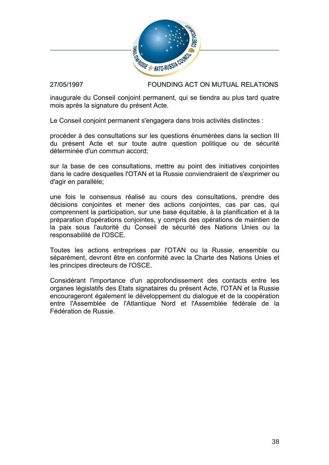

inaugurale du Conseil conjoint permanent, qui se tiendra au plus tard quatre mois après la signature du présent Acte.

Le Conseil conjoint permanent s'engagera dans trois activités distinctes :

procéder à des consultations sur les questions énumérées dans la section III du présent Acte et sur toute autre question politique ou de sécurité déterminée d'un commun accord;

sur la base de ces consultations, mettre au point des initiatives conjointes dans le cadre desquelles l'OTAN et la Russie conviendraient de s'exprimer ou d'agir en parallèle;

une fois le consensus réalisé au cours des consultations, prendre des décisions conjointes et mener des actions conjointes, cas par cas, qui comprennent la participation, sur une base équitable, à la planification et à la préparation d'opérations conjointes, y compris des opérations de maintien de la paix sous l'autorité du Conseil de sécurité des Nations Unies ou la responsabilité de l'OSCE.

Toutes les actions entreprises par l'OTAN ou la Russie, ensemble ou séparément, devront être en conformité avec la Charte des Nations Unies et les principes directeurs de l'OSCE.

Considérant l'importance d'un approfondissement des contacts entre les organes législatifs des Etats signataires du présent Acte, l'OTAN et la Russie encourageront également le développement du dialogue et de la coopération entre l'Assemblée de l'Atlantique Nord et l'Assemblée fédérale de la Fédération de Russie.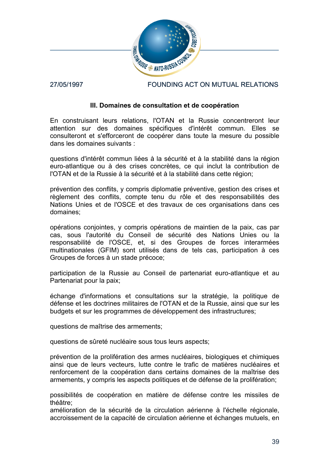

## **III. Domaines de consultation et de coopération**

En construisant leurs relations, l'OTAN et la Russie concentreront leur attention sur des domaines spécifiques d'intérêt commun. Elles se consulteront et s'efforceront de coopérer dans toute la mesure du possible dans les domaines suivants :

questions d'intérêt commun liées à la sécurité et à la stabilité dans la région euro-atlantique ou à des crises concrètes, ce qui inclut la contribution de l'OTAN et de la Russie à la sécurité et à la stabilité dans cette région;

prévention des conflits, y compris diplomatie préventive, gestion des crises et règlement des conflits, compte tenu du rôle et des responsabilités des Nations Unies et de l'OSCE et des travaux de ces organisations dans ces domaines;

opérations conjointes, y compris opérations de maintien de la paix, cas par cas, sous l'autorité du Conseil de sécurité des Nations Unies ou la responsabilité de l'OSCE, et, si des Groupes de forces interarmées multinationales (GFIM) sont utilisés dans de tels cas, participation à ces Groupes de forces à un stade précoce;

participation de la Russie au Conseil de partenariat euro-atlantique et au Partenariat pour la paix;

échange d'informations et consultations sur la stratégie, la politique de défense et les doctrines militaires de l'OTAN et de la Russie, ainsi que sur les budgets et sur les programmes de développement des infrastructures;

questions de maîtrise des armements;

questions de sûreté nucléaire sous tous leurs aspects;

prévention de la prolifération des armes nucléaires, biologiques et chimiques ainsi que de leurs vecteurs, lutte contre le trafic de matières nucléaires et renforcement de la coopération dans certains domaines de la maîtrise des armements, y compris les aspects politiques et de défense de la prolifération;

possibilités de coopération en matière de défense contre les missiles de théâtre;

amélioration de la sécurité de la circulation aérienne à l'échelle régionale, accroissement de la capacité de circulation aérienne et échanges mutuels, en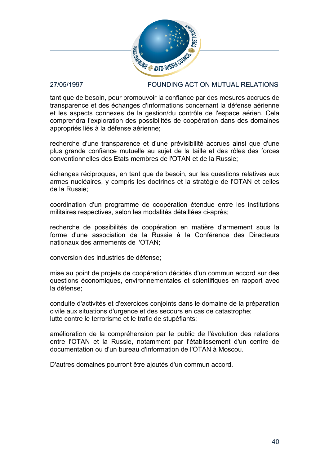

tant que de besoin, pour promouvoir la confiance par des mesures accrues de transparence et des échanges d'informations concernant la défense aérienne et les aspects connexes de la gestion/du contrôle de l'espace aérien. Cela comprendra l'exploration des possibilités de coopération dans des domaines appropriés liés à la défense aérienne;

recherche d'une transparence et d'une prévisibilité accrues ainsi que d'une plus grande confiance mutuelle au sujet de la taille et des rôles des forces conventionnelles des Etats membres de l'OTAN et de la Russie;

échanges réciproques, en tant que de besoin, sur les questions relatives aux armes nucléaires, y compris les doctrines et la stratégie de l'OTAN et celles de la Russie;

coordination d'un programme de coopération étendue entre les institutions militaires respectives, selon les modalités détaillées ci-après;

recherche de possibilités de coopération en matière d'armement sous la forme d'une association de la Russie à la Conférence des Directeurs nationaux des armements de l'OTAN;

conversion des industries de défense;

mise au point de projets de coopération décidés d'un commun accord sur des questions économiques, environnementales et scientifiques en rapport avec la défense;

conduite d'activités et d'exercices conjoints dans le domaine de la préparation civile aux situations d'urgence et des secours en cas de catastrophe; lutte contre le terrorisme et le trafic de stupéfiants;

amélioration de la compréhension par le public de l'évolution des relations entre l'OTAN et la Russie, notamment par l'établissement d'un centre de documentation ou d'un bureau d'information de l'OTAN à Moscou.

D'autres domaines pourront être ajoutés d'un commun accord.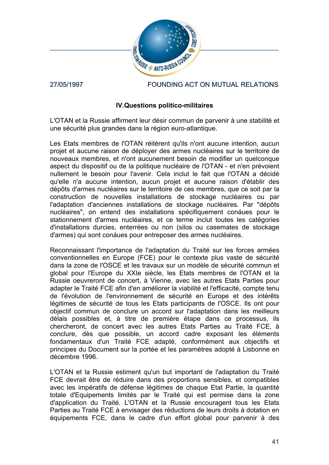

## **IV.Questions politico-militaires**

L'OTAN et la Russie affirment leur désir commun de parvenir à une stabilité et une sécurité plus grandes dans la région euro-atlantique.

Les Etats membres de l'OTAN réitèrent qu'ils n'ont aucune intention, aucun projet et aucune raison de déployer des armes nucléaires sur le territoire de nouveaux membres, et n'ont aucunement besoin de modifier un quelconque aspect du dispositif ou de la politique nucléaire de l'OTAN - et n'en prévoient nullement le besoin pour l'avenir. Cela inclut le fait que l'OTAN a décidé qu'elle n'a aucune intention, aucun projet et aucune raison d'établir des dépôts d'armes nucléaires sur le territoire de ces membres, que ce soit par la construction de nouvelles installations de stockage nucléaires ou par l'adaptation d'anciennes installations de stockage nucléaires. Par "dépôts nucléaires", on entend des installations spécifiquement conáues pour le stationnement d'armes nucléaires, et ce terme inclut toutes les catégories d'installations durcies, enterrées ou non (silos ou casemates de stockage d'armes) qui sont conáues pour entreposer des armes nucléaires.

Reconnaissant l'importance de l'adaptation du Traité sur les forces armées conventionnelles en Europe (FCE) pour le contexte plus vaste de sécurité dans la zone de l'OSCE et les travaux sur un modèle de sécurité commun et global pour l'Europe du XXIe siècle, les Etats membres de l'OTAN et la Russie oeuvreront de concert, à Vienne, avec les autres Etats Parties pour adapter le Traité FCE afin d'en améliorer la viabilité et l'efficacité, compte tenu de l'évolution de l'environnement de sécurité en Europe et des intérêts légitimes de sécurité de tous les Etats participants de l'OSCE. Ils ont pour objectif commun de conclure un accord sur l'adaptation dans les meilleurs délais possibles et, à titre de première étape dans ce processus, ils chercheront, de concert avec les autres Etats Parties au Traité FCE, à conclure, dès que possible, un accord cadre exposant les éléments fondamentaux d'un Traité FCE adapté, conformément aux objectifs et principes du Document sur la portée et les paramètres adopté à Lisbonne en décembre 1996.

L'OTAN et la Russie estiment qu'un but important de l'adaptation du Traité FCE devrait être de réduire dans des proportions sensibles, et compatibles avec les impératifs de défense légitimes de chaque Etat Partie, la quantité totale d'Equipements limités par le Traité qui est permise dans la zone d'application du Traité. L'OTAN et la Russie encouragent tous les Etats Parties au Traité FCE à envisager des réductions de leurs droits à dotation en équipements FCE, dans le cadre d'un effort global pour parvenir à des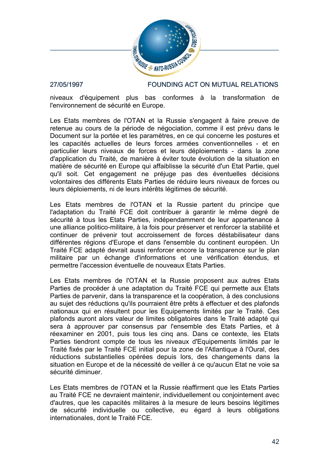

niveaux d'équipement plus bas conformes à la transformation de l'environnement de sécurité en Europe.

Les Etats membres de l'OTAN et la Russie s'engagent à faire preuve de retenue au cours de la période de négociation, comme il est prévu dans le Document sur la portée et les paramètres, en ce qui concerne les postures et les capacités actuelles de leurs forces armées conventionnelles - et en particulier leurs niveaux de forces et leurs déploiements - dans la zone d'application du Traité, de manière à éviter toute évolution de la situation en matière de sécurité en Europe qui affaiblisse la sécurité d'un Etat Partie, quel qu'il soit. Cet engagement ne préjuge pas des éventuelles décisions volontaires des différents Etats Parties de réduire leurs niveaux de forces ou leurs déploiements, ni de leurs intérêts légitimes de sécurité.

Les Etats membres de l'OTAN et la Russie partent du principe que l'adaptation du Traité FCE doit contribuer à garantir le même degré de sécurité à tous les Etats Parties, indépendamment de leur appartenance à une alliance politico-militaire, à la fois pour préserver et renforcer la stabilité et continuer de prévenir tout accroissement de forces déstabilisateur dans différentes régions d'Europe et dans l'ensemble du continent européen. Un Traité FCE adapté devrait aussi renforcer encore la transparence sur le plan militaire par un échange d'informations et une vérification étendus, et permettre l'accession éventuelle de nouveaux Etats Parties.

Les Etats membres de l'OTAN et la Russie proposent aux autres Etats Parties de procéder à une adaptation du Traité FCE qui permette aux Etats Parties de parvenir, dans la transparence et la coopération, à des conclusions au sujet des réductions qu'ils pourraient être prêts à effectuer et des plafonds nationaux qui en résultent pour les Equipements limités par le Traité. Ces plafonds auront alors valeur de limites obligatoires dans le Traité adapté qui sera à approuver par consensus par l'ensemble des Etats Parties, et à réexaminer en 2001, puis tous les cinq ans. Dans ce contexte, les Etats Parties tiendront compte de tous les niveaux d'Equipements limités par le Traité fixés par le Traité FCE initial pour la zone de l'Atlantique à l'Oural, des réductions substantielles opérées depuis lors, des changements dans la situation en Europe et de la nécessité de veiller à ce qu'aucun Etat ne voie sa sécurité diminuer.

Les Etats membres de l'OTAN et la Russie réaffirment que les Etats Parties au Traité FCE ne devraient maintenir, individuellement ou conjointement avec d'autres, que les capacités militaires à la mesure de leurs besoins légitimes de sécurité individuelle ou collective, eu égard à leurs obligations internationales, dont le Traité FCE.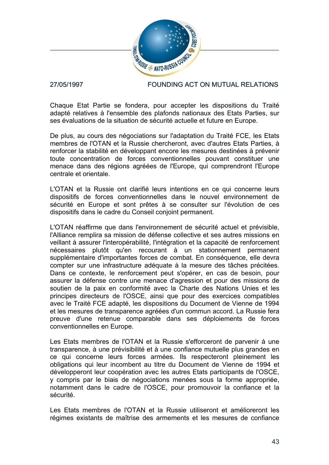

Chaque Etat Partie se fondera, pour accepter les dispositions du Traité adapté relatives à l'ensemble des plafonds nationaux des Etats Parties, sur ses évaluations de la situation de sécurité actuelle et future en Europe.

De plus, au cours des négociations sur l'adaptation du Traité FCE, les Etats membres de l'OTAN et la Russie chercheront, avec d'autres Etats Parties, à renforcer la stabilité en développant encore les mesures destinées à prévenir toute concentration de forces conventionnelles pouvant constituer une menace dans des régions agréées de l'Europe, qui comprendront l'Europe centrale et orientale.

L'OTAN et la Russie ont clarifié leurs intentions en ce qui concerne leurs dispositifs de forces conventionnelles dans le nouvel environnement de sécurité en Europe et sont prêtes à se consulter sur l'évolution de ces dispositifs dans le cadre du Conseil conjoint permanent.

L'OTAN réaffirme que dans l'environnement de sécurité actuel et prévisible, l'Alliance remplira sa mission de défense collective et ses autres missions en veillant à assurer l'interopérabilité, l'intégration et la capacité de renforcement nécessaires plutôt qu'en recourant à un stationnement permanent supplémentaire d'importantes forces de combat. En conséquence, elle devra compter sur une infrastructure adéquate à la mesure des tâches précitées. Dans ce contexte, le renforcement peut s'opérer, en cas de besoin, pour assurer la défense contre une menace d'agression et pour des missions de soutien de la paix en conformité avec la Charte des Nations Unies et les principes directeurs de l'OSCE, ainsi que pour des exercices compatibles avec le Traité FCE adapté, les dispositions du Document de Vienne de 1994 et les mesures de transparence agréées d'un commun accord. La Russie fera preuve d'une retenue comparable dans ses déploiements de forces conventionnelles en Europe.

Les Etats membres de l'OTAN et la Russie s'efforceront de parvenir à une transparence, à une prévisibilité et à une confiance mutuelle plus grandes en ce qui concerne leurs forces armées. Ils respecteront pleinement les obligations qui leur incombent au titre du Document de Vienne de 1994 et développeront leur coopération avec les autres Etats participants de l'OSCE, y compris par le biais de négociations menées sous la forme appropriée, notamment dans le cadre de l'OSCE, pour promouvoir la confiance et la sécurité.

Les Etats membres de l'OTAN et la Russie utiliseront et amélioreront les régimes existants de maîtrise des armements et les mesures de confiance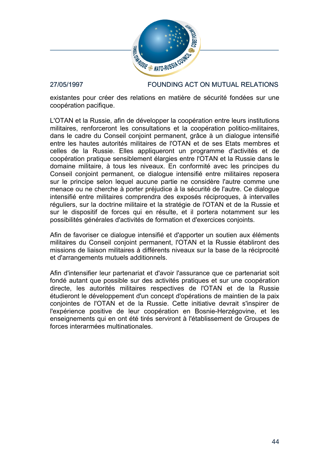

existantes pour créer des relations en matière de sécurité fondées sur une coopération pacifique.

L'OTAN et la Russie, afin de développer la coopération entre leurs institutions militaires, renforceront les consultations et la coopération politico-militaires, dans le cadre du Conseil conjoint permanent, grâce à un dialogue intensifié entre les hautes autorités militaires de l'OTAN et de ses Etats membres et celles de la Russie. Elles appliqueront un programme d'activités et de coopération pratique sensiblement élargies entre l'OTAN et la Russie dans le domaine militaire, à tous les niveaux. En conformité avec les principes du Conseil conjoint permanent, ce dialogue intensifié entre militaires reposera sur le principe selon lequel aucune partie ne considère l'autre comme une menace ou ne cherche à porter préjudice à la sécurité de l'autre. Ce dialogue intensifié entre militaires comprendra des exposés réciproques, à intervalles réguliers, sur la doctrine militaire et la stratégie de l'OTAN et de la Russie et sur le dispositif de forces qui en résulte, et il portera notamment sur les possibilités générales d'activités de formation et d'exercices conjoints.

Afin de favoriser ce dialogue intensifié et d'apporter un soutien aux éléments militaires du Conseil conjoint permanent, l'OTAN et la Russie établiront des missions de liaison militaires à différents niveaux sur la base de la réciprocité et d'arrangements mutuels additionnels.

Afin d'intensifier leur partenariat et d'avoir l'assurance que ce partenariat soit fondé autant que possible sur des activités pratiques et sur une coopération directe, les autorités militaires respectives de l'OTAN et de la Russie étudieront le développement d'un concept d'opérations de maintien de la paix conjointes de l'OTAN et de la Russie. Cette initiative devrait s'inspirer de l'expérience positive de leur coopération en Bosnie-Herzégovine, et les enseignements qui en ont été tirés serviront à l'établissement de Groupes de forces interarmées multinationales.